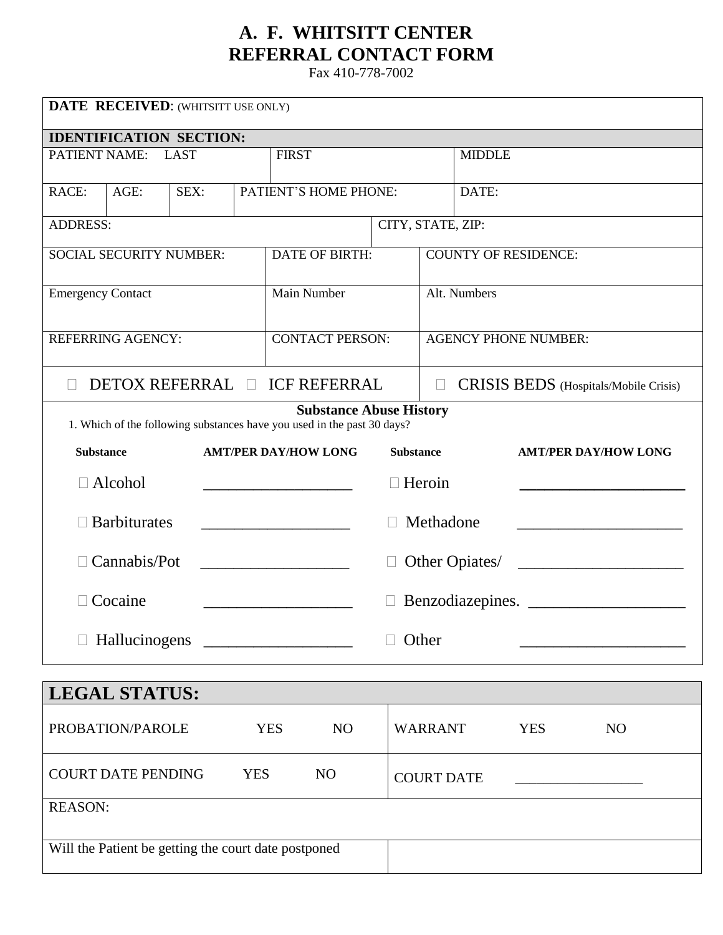# **A. F. WHITSITT CENTER REFERRAL CONTACT FORM**

Fax 410-778-7002

| DATE RECEIVED: (WHITSITT USE ONLY)                                                                        |                                |  |  |                                                                                                                                    |  |                                                 |                   |                             |            |  |                  |  |  |
|-----------------------------------------------------------------------------------------------------------|--------------------------------|--|--|------------------------------------------------------------------------------------------------------------------------------------|--|-------------------------------------------------|-------------------|-----------------------------|------------|--|------------------|--|--|
|                                                                                                           | <b>IDENTIFICATION SECTION:</b> |  |  |                                                                                                                                    |  |                                                 |                   |                             |            |  |                  |  |  |
| <b>FIRST</b><br>PATIENT NAME:<br><b>LAST</b>                                                              |                                |  |  |                                                                                                                                    |  | <b>MIDDLE</b>                                   |                   |                             |            |  |                  |  |  |
| RACE:                                                                                                     | PATIENT'S HOME PHONE:          |  |  | DATE:                                                                                                                              |  |                                                 |                   |                             |            |  |                  |  |  |
| <b>ADDRESS:</b>                                                                                           |                                |  |  |                                                                                                                                    |  |                                                 | CITY, STATE, ZIP: |                             |            |  |                  |  |  |
|                                                                                                           | <b>SOCIAL SECURITY NUMBER:</b> |  |  | <b>DATE OF BIRTH:</b>                                                                                                              |  |                                                 |                   | <b>COUNTY OF RESIDENCE:</b> |            |  |                  |  |  |
| <b>Emergency Contact</b>                                                                                  |                                |  |  | Main Number                                                                                                                        |  |                                                 |                   | Alt. Numbers                |            |  |                  |  |  |
|                                                                                                           | <b>REFERRING AGENCY:</b>       |  |  | <b>CONTACT PERSON:</b>                                                                                                             |  |                                                 |                   | <b>AGENCY PHONE NUMBER:</b> |            |  |                  |  |  |
| <b>DETOX REFERRAL □ ICF REFERRAL</b><br>CRISIS BEDS (Hospitals/Mobile Crisis)<br>$\Box$                   |                                |  |  |                                                                                                                                    |  |                                                 |                   |                             |            |  |                  |  |  |
| <b>Substance Abuse History</b><br>1. Which of the following substances have you used in the past 30 days? |                                |  |  |                                                                                                                                    |  |                                                 |                   |                             |            |  |                  |  |  |
| <b>Substance</b>                                                                                          |                                |  |  | <b>AMT/PER DAY/HOW LONG</b>                                                                                                        |  | <b>Substance</b><br><b>AMT/PER DAY/HOW LONG</b> |                   |                             |            |  |                  |  |  |
|                                                                                                           | $\Box$ Alcohol                 |  |  | $\Box$ Heroin<br>the control of the control of the control of the control of                                                       |  |                                                 |                   |                             |            |  |                  |  |  |
|                                                                                                           | <b>Barbiturates</b>            |  |  | Methadone<br><u> 1980 - John Stein, mars and de Britain Born Stein Born Stein Born Stein Born Stein Born Stein Born Stein Born</u> |  |                                                 |                   |                             |            |  |                  |  |  |
|                                                                                                           | Cannabis/Pot                   |  |  | Other Opiates/<br><u> 1990 - Johann Barbara, martin a</u>                                                                          |  |                                                 |                   |                             |            |  |                  |  |  |
|                                                                                                           | Cocaine                        |  |  |                                                                                                                                    |  |                                                 |                   |                             |            |  | Benzodiazepines. |  |  |
|                                                                                                           |                                |  |  |                                                                                                                                    |  |                                                 | Other             |                             |            |  |                  |  |  |
|                                                                                                           |                                |  |  |                                                                                                                                    |  |                                                 |                   |                             |            |  |                  |  |  |
|                                                                                                           | <b>LEGAL STATUS:</b>           |  |  |                                                                                                                                    |  |                                                 |                   |                             |            |  |                  |  |  |
|                                                                                                           | PROBATION/PAROLE               |  |  | <b>YES</b><br>N <sub>O</sub>                                                                                                       |  |                                                 | <b>WARRANT</b>    |                             | <b>YES</b> |  | NO               |  |  |
| <b>YES</b><br><b>COURT DATE PENDING</b><br>N <sub>O</sub>                                                 |                                |  |  |                                                                                                                                    |  | <b>COURT DATE</b>                               |                   |                             |            |  |                  |  |  |
| DF A COM·                                                                                                 |                                |  |  |                                                                                                                                    |  |                                                 |                   |                             |            |  |                  |  |  |

| REASUN. |  |
|---------|--|
|         |  |

Will the Patient be getting the court date postponed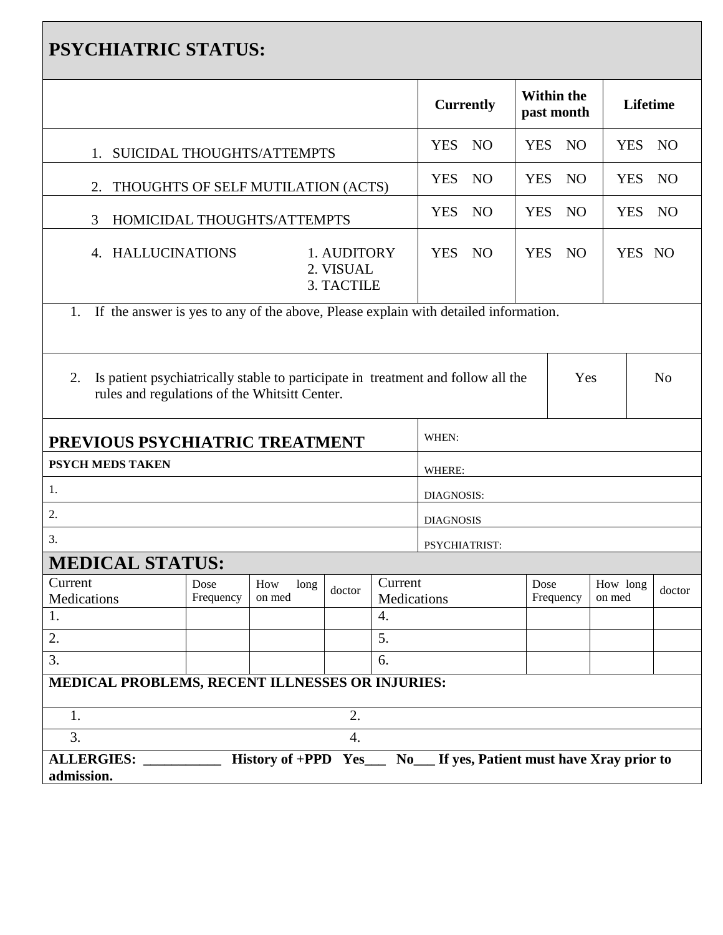| <b>PSYCHIATRIC STATUS:</b>                                                             |                                                                                                                                                            |                       |                  |                          |                  |                 |                   |  |                    |  |        |  |  |
|----------------------------------------------------------------------------------------|------------------------------------------------------------------------------------------------------------------------------------------------------------|-----------------------|------------------|--------------------------|------------------|-----------------|-------------------|--|--------------------|--|--------|--|--|
|                                                                                        |                                                                                                                                                            | <b>Currently</b>      |                  | Within the<br>past month |                  | <b>Lifetime</b> |                   |  |                    |  |        |  |  |
| 1. SUICIDAL THOUGHTS/ATTEMPTS                                                          | <b>YES</b>                                                                                                                                                 | <b>NO</b>             | <b>YES</b>       | NO                       |                  | <b>YES</b>      | NO <sub>1</sub>   |  |                    |  |        |  |  |
| THOUGHTS OF SELF MUTILATION (ACTS)<br>2.                                               | <b>YES</b>                                                                                                                                                 | NO                    | <b>YES</b>       | NO                       |                  | <b>YES</b>      | N <sub>O</sub>    |  |                    |  |        |  |  |
| HOMICIDAL THOUGHTS/ATTEMPTS<br>3                                                       | <b>YES</b>                                                                                                                                                 | NO                    | <b>YES</b>       | NO                       |                  | <b>YES</b>      | NO                |  |                    |  |        |  |  |
| 4. HALLUCINATIONS                                                                      | <b>YES</b>                                                                                                                                                 | NO                    |                  | YES NO                   |                  | YES NO          |                   |  |                    |  |        |  |  |
| 1. If the answer is yes to any of the above, Please explain with detailed information. |                                                                                                                                                            |                       |                  |                          |                  |                 |                   |  |                    |  |        |  |  |
| 2.                                                                                     | Yes<br>Is patient psychiatrically stable to participate in treatment and follow all the<br>N <sub>o</sub><br>rules and regulations of the Whitsitt Center. |                       |                  |                          |                  |                 |                   |  |                    |  |        |  |  |
| PREVIOUS PSYCHIATRIC TREATMENT                                                         |                                                                                                                                                            |                       |                  |                          | WHEN:            |                 |                   |  |                    |  |        |  |  |
| PSYCH MEDS TAKEN                                                                       |                                                                                                                                                            |                       |                  |                          | WHERE:           |                 |                   |  |                    |  |        |  |  |
| 1.                                                                                     |                                                                                                                                                            |                       |                  |                          | DIAGNOSIS:       |                 |                   |  |                    |  |        |  |  |
| 2.                                                                                     |                                                                                                                                                            |                       |                  |                          | <b>DIAGNOSIS</b> |                 |                   |  |                    |  |        |  |  |
| 3.                                                                                     |                                                                                                                                                            |                       |                  |                          | PSYCHIATRIST:    |                 |                   |  |                    |  |        |  |  |
| <b>MEDICAL STATUS:</b>                                                                 |                                                                                                                                                            |                       |                  |                          |                  |                 |                   |  |                    |  |        |  |  |
| Current<br>Medications                                                                 | Dose<br>Frequency                                                                                                                                          | How<br>long<br>on med | doctor           | Current<br>Medications   |                  |                 | Dose<br>Frequency |  | How long<br>on med |  | doctor |  |  |
| 1.                                                                                     |                                                                                                                                                            |                       |                  | 4.                       |                  |                 |                   |  |                    |  |        |  |  |
| 2.                                                                                     |                                                                                                                                                            |                       |                  |                          |                  |                 |                   |  |                    |  |        |  |  |
| 3.                                                                                     | 6.                                                                                                                                                         |                       |                  |                          |                  |                 |                   |  |                    |  |        |  |  |
| MEDICAL PROBLEMS, RECENT ILLNESSES OR INJURIES:                                        |                                                                                                                                                            |                       |                  |                          |                  |                 |                   |  |                    |  |        |  |  |
| 1.                                                                                     |                                                                                                                                                            |                       | 2.               |                          |                  |                 |                   |  |                    |  |        |  |  |
| 3.                                                                                     |                                                                                                                                                            |                       | $\overline{4}$ . |                          |                  |                 |                   |  |                    |  |        |  |  |
| admission.                                                                             | History of +PPD Yes__ No__ If yes, Patient must have Xray prior to<br>ALLERGIES:                                                                           |                       |                  |                          |                  |                 |                   |  |                    |  |        |  |  |

٦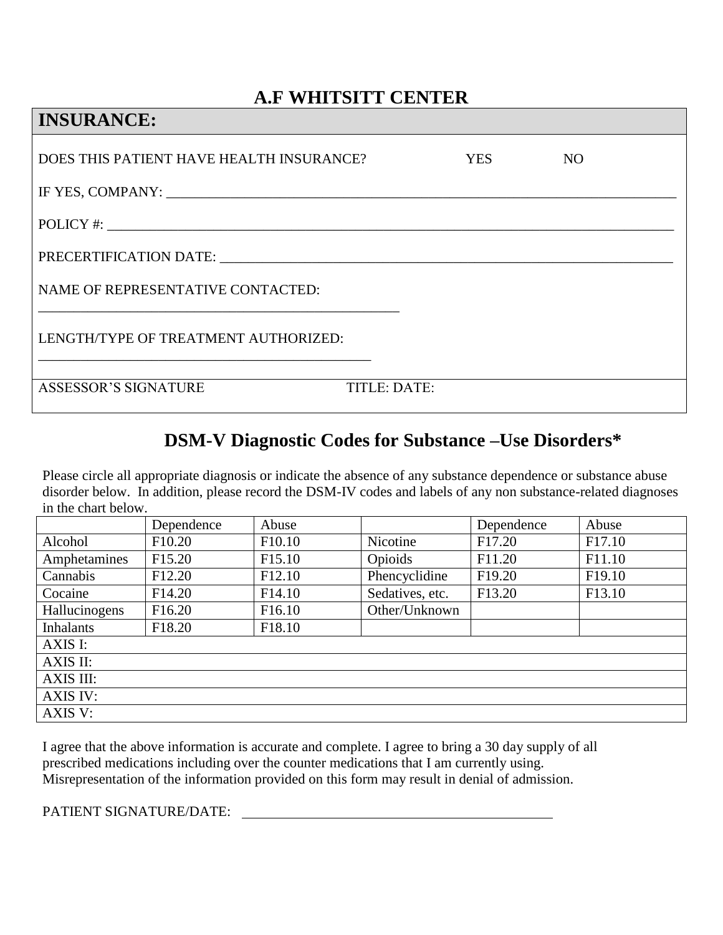# **A.F WHITSITT CENTER**

| <b>INSURANCE:</b>                        |              |     |                 |
|------------------------------------------|--------------|-----|-----------------|
| DOES THIS PATIENT HAVE HEALTH INSURANCE? |              | YES | NO <sub>1</sub> |
|                                          |              |     |                 |
| POLICY #:                                |              |     |                 |
| PRECERTIFICATION DATE:                   |              |     |                 |
| NAME OF REPRESENTATIVE CONTACTED:        |              |     |                 |
| LENGTH/TYPE OF TREATMENT AUTHORIZED:     |              |     |                 |
| <b>ASSESSOR'S SIGNATURE</b>              | TITLE: DATE: |     |                 |

# **DSM-V Diagnostic Codes for Substance –Use Disorders\***

Please circle all appropriate diagnosis or indicate the absence of any substance dependence or substance abuse disorder below. In addition, please record the DSM-IV codes and labels of any non substance-related diagnoses in the chart below.

|                  | Dependence         | Abuse              |                 | Dependence         | Abuse              |
|------------------|--------------------|--------------------|-----------------|--------------------|--------------------|
| Alcohol          | F <sub>10.20</sub> | F <sub>10.10</sub> | Nicotine        | F17.20             | F <sub>17.10</sub> |
| Amphetamines     | F <sub>15.20</sub> | F <sub>15.10</sub> | Opioids         | F <sub>11.20</sub> | F11.10             |
| Cannabis         | F12.20             | F <sub>12.10</sub> | Phencyclidine   | F <sub>19.20</sub> | F <sub>19.10</sub> |
| Cocaine          | F <sub>14.20</sub> | F <sub>14.10</sub> | Sedatives, etc. | F13.20             | F13.10             |
| Hallucinogens    | F <sub>16.20</sub> | F <sub>16.10</sub> | Other/Unknown   |                    |                    |
| <b>Inhalants</b> | F18.20             | F <sub>18.10</sub> |                 |                    |                    |
| AXIS I:          |                    |                    |                 |                    |                    |
| AXIS II:         |                    |                    |                 |                    |                    |
| AXIS III:        |                    |                    |                 |                    |                    |
| AXIS IV:         |                    |                    |                 |                    |                    |
| AXIS V:          |                    |                    |                 |                    |                    |

I agree that the above information is accurate and complete. I agree to bring a 30 day supply of all prescribed medications including over the counter medications that I am currently using. Misrepresentation of the information provided on this form may result in denial of admission.

PATIENT SIGNATURE/DATE: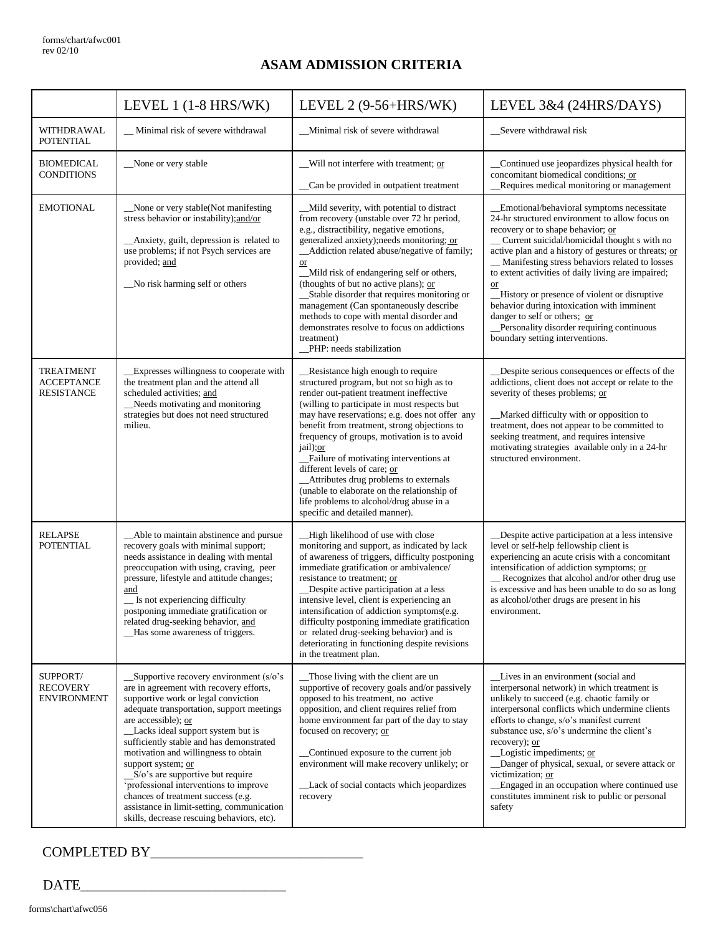# **ASAM ADMISSION CRITERIA**

|                                                            | LEVEL 1 (1-8 HRS/WK)                                                                                                                                                                                                                                                                                                                                                                                                                                                                                                                                              | LEVEL $2(9-56+HRS/WK)$                                                                                                                                                                                                                                                                                                                                                                                                                                                                                                                                                                      | LEVEL 3&4 (24HRS/DAYS)                                                                                                                                                                                                                                                                                                                                                                                                                                                                                                                                                         |
|------------------------------------------------------------|-------------------------------------------------------------------------------------------------------------------------------------------------------------------------------------------------------------------------------------------------------------------------------------------------------------------------------------------------------------------------------------------------------------------------------------------------------------------------------------------------------------------------------------------------------------------|---------------------------------------------------------------------------------------------------------------------------------------------------------------------------------------------------------------------------------------------------------------------------------------------------------------------------------------------------------------------------------------------------------------------------------------------------------------------------------------------------------------------------------------------------------------------------------------------|--------------------------------------------------------------------------------------------------------------------------------------------------------------------------------------------------------------------------------------------------------------------------------------------------------------------------------------------------------------------------------------------------------------------------------------------------------------------------------------------------------------------------------------------------------------------------------|
| <b>WITHDRAWAL</b><br><b>POTENTIAL</b>                      | _Minimal risk of severe withdrawal                                                                                                                                                                                                                                                                                                                                                                                                                                                                                                                                | _Minimal risk of severe withdrawal                                                                                                                                                                                                                                                                                                                                                                                                                                                                                                                                                          | _Severe withdrawal risk                                                                                                                                                                                                                                                                                                                                                                                                                                                                                                                                                        |
| <b>BIOMEDICAL</b><br><b>CONDITIONS</b>                     | None or very stable                                                                                                                                                                                                                                                                                                                                                                                                                                                                                                                                               | Will not interfere with treatment; or<br>Can be provided in outpatient treatment                                                                                                                                                                                                                                                                                                                                                                                                                                                                                                            | Continued use jeopardizes physical health for<br>concomitant biomedical conditions; or<br>Requires medical monitoring or management                                                                                                                                                                                                                                                                                                                                                                                                                                            |
| <b>EMOTIONAL</b>                                           | None or very stable(Not manifesting<br>stress behavior or instability); and/or<br>_Anxiety, guilt, depression is related to<br>use problems; if not Psych services are<br>provided; and<br>No risk harming self or others                                                                                                                                                                                                                                                                                                                                         | _Mild severity, with potential to distract<br>from recovery (unstable over 72 hr period,<br>e.g., distractibility, negative emotions,<br>generalized anxiety);needs monitoring; or<br>_Addiction related abuse/negative of family;<br>or<br>_Mild risk of endangering self or others,<br>(thoughts of but no active plans); or<br>_Stable disorder that requires monitoring or<br>management (Can spontaneously describe<br>methods to cope with mental disorder and<br>demonstrates resolve to focus on addictions<br>treatment)<br>PHP: needs stabilization                               | Emotional/behavioral symptoms necessitate<br>24-hr structured environment to allow focus on<br>recovery or to shape behavior; or<br>_Current suicidal/homicidal thought s with no<br>active plan and a history of gestures or threats; or<br>_Manifesting stress behaviors related to losses<br>to extent activities of daily living are impaired;<br><b>or</b><br>_History or presence of violent or disruptive<br>behavior during intoxication with imminent<br>danger to self or others; or<br>Personality disorder requiring continuous<br>boundary setting interventions. |
| <b>TREATMENT</b><br><b>ACCEPTANCE</b><br><b>RESISTANCE</b> | Expresses willingness to cooperate with<br>the treatment plan and the attend all<br>scheduled activities; and<br>Needs motivating and monitoring<br>strategies but does not need structured<br>milieu.                                                                                                                                                                                                                                                                                                                                                            | _Resistance high enough to require<br>structured program, but not so high as to<br>render out-patient treatment ineffective<br>(willing to participate in most respects but<br>may have reservations; e.g. does not offer any<br>benefit from treatment, strong objections to<br>frequency of groups, motivation is to avoid<br>jail); or<br>_Failure of motivating interventions at<br>different levels of care; or<br>_Attributes drug problems to externals<br>(unable to elaborate on the relationship of<br>life problems to alcohol/drug abuse in a<br>specific and detailed manner). | Despite serious consequences or effects of the<br>addictions, client does not accept or relate to the<br>severity of theses problems; or<br>_Marked difficulty with or opposition to<br>treatment, does not appear to be committed to<br>seeking treatment, and requires intensive<br>motivating strategies available only in a 24-hr<br>structured environment.                                                                                                                                                                                                               |
| <b>RELAPSE</b><br>POTENTIAL                                | _Able to maintain abstinence and pursue<br>recovery goals with minimal support;<br>needs assistance in dealing with mental<br>preoccupation with using, craving, peer<br>pressure, lifestyle and attitude changes;<br>and<br>Is not experiencing difficulty<br>postponing immediate gratification or<br>related drug-seeking behavior, and<br>_Has some awareness of triggers.                                                                                                                                                                                    | _High likelihood of use with close<br>monitoring and support, as indicated by lack<br>of awareness of triggers, difficulty postponing<br>immediate gratification or ambivalence/<br>resistance to treatment; or<br>Despite active participation at a less<br>intensive level, client is experiencing an<br>intensification of addiction symptoms(e.g.<br>difficulty postponing immediate gratification<br>or related drug-seeking behavior) and is<br>deteriorating in functioning despite revisions<br>in the treatment plan.                                                              | _Despite active participation at a less intensive<br>level or self-help fellowship client is<br>experiencing an acute crisis with a concomitant<br>intensification of addiction symptoms; or<br>_Recognizes that alcohol and/or other drug use<br>is excessive and has been unable to do so as long<br>as alcohol/other drugs are present in his<br>environment.                                                                                                                                                                                                               |
| SUPPORT/<br><b>RECOVERY</b><br><b>ENVIRONMENT</b>          | $\_\$ Supportive recovery environment (s/o's<br>are in agreement with recovery efforts,<br>supportive work or legal conviction<br>adequate transportation, support meetings<br>are accessible); or<br>Lacks ideal support system but is<br>sufficiently stable and has demonstrated<br>motivation and willingness to obtain<br>support system; or<br>S/o's are supportive but require<br>'professional interventions to improve<br>chances of treatment success (e.g.<br>assistance in limit-setting, communication<br>skills, decrease rescuing behaviors, etc). | _Those living with the client are un<br>supportive of recovery goals and/or passively<br>opposed to his treatment, no active<br>opposition, and client requires relief from<br>home environment far part of the day to stay<br>focused on recovery; or<br>Continued exposure to the current job<br>environment will make recovery unlikely; or<br>_Lack of social contacts which jeopardizes<br>recovery                                                                                                                                                                                    | Lives in an environment (social and<br>interpersonal network) in which treatment is<br>unlikely to succeed (e.g. chaotic family or<br>interpersonal conflicts which undermine clients<br>efforts to change, s/o's manifest current<br>substance use, s/o's undermine the client's<br>recovery); or<br>Logistic impediments; or<br>Danger of physical, sexual, or severe attack or<br>victimization; or<br>_Engaged in an occupation where continued use<br>constitutes imminent risk to public or personal<br>safety                                                           |

# COMPLETED BY\_\_\_\_\_\_\_\_\_\_\_\_\_\_\_\_\_\_\_\_\_\_\_\_\_\_\_\_\_\_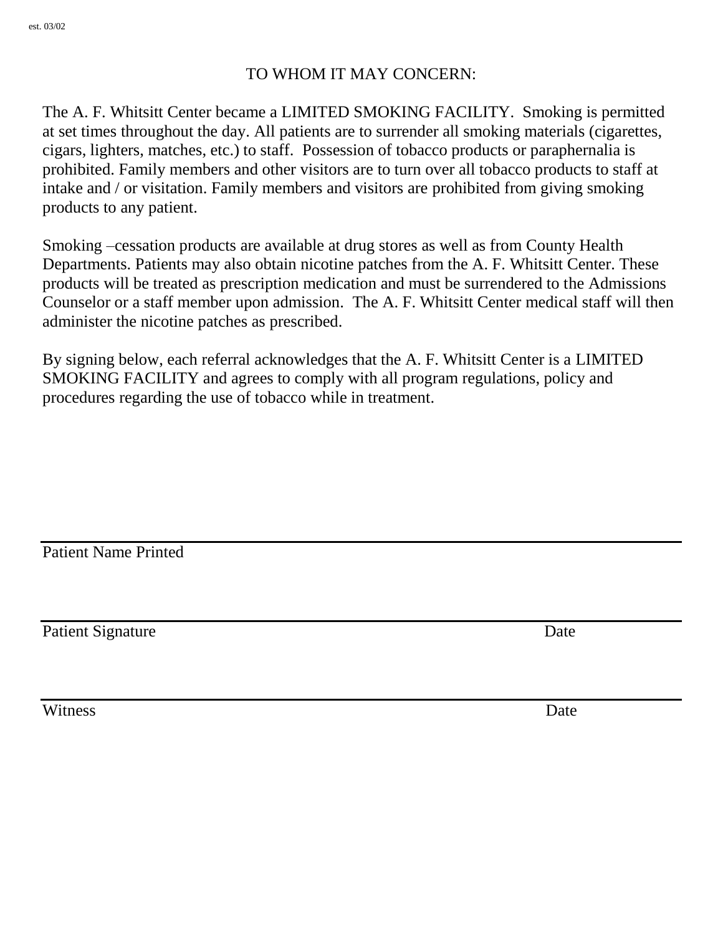# TO WHOM IT MAY CONCERN:

The A. F. Whitsitt Center became a LIMITED SMOKING FACILITY. Smoking is permitted at set times throughout the day. All patients are to surrender all smoking materials (cigarettes, cigars, lighters, matches, etc.) to staff. Possession of tobacco products or paraphernalia is prohibited. Family members and other visitors are to turn over all tobacco products to staff at intake and / or visitation. Family members and visitors are prohibited from giving smoking products to any patient.

Smoking –cessation products are available at drug stores as well as from County Health Departments. Patients may also obtain nicotine patches from the A. F. Whitsitt Center. These products will be treated as prescription medication and must be surrendered to the Admissions Counselor or a staff member upon admission. The A. F. Whitsitt Center medical staff will then administer the nicotine patches as prescribed.

By signing below, each referral acknowledges that the A. F. Whitsitt Center is a LIMITED SMOKING FACILITY and agrees to comply with all program regulations, policy and procedures regarding the use of tobacco while in treatment.

Patient Name Printed

Patient Signature Date

Witness Date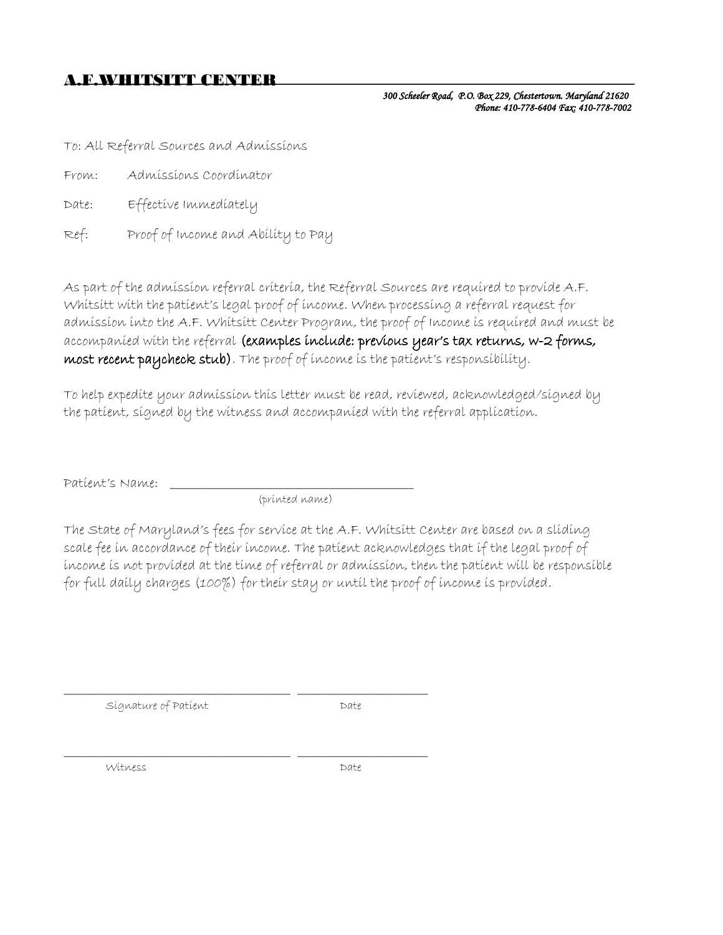#### A.F.WHITSITT CENTER

*300 Scheeler Road, P.O. Box 229, Chestertown. Maryland 21620 Phone: 410-778-6404 Fax: 410-778-7002* 

To: All Referral Sources and Admissions

- From: Admissions Coordinator
- Date: Effective Immediately
- Ref: Proof of Income and Ability to Pay

As part of the admission referral criteria, the Referral Sources are required to provide A.F. Whitsitt with the patient's legal proof of income. When processing a referral request for admission into the A.F. Whitsitt Center Program, the proof of Income is required and must be accompanied with the referral (examples include: previous year's tax returns, w-2 forms, most recent paycheck stub). The proof of income is the patient's responsibility.

To help expedite your admission this letter must be read, reviewed, acknowledged/signed by the patient, signed by the witness and accompanied with the referral application.

Patient's Name:

(printed name)

\_\_\_\_\_\_\_\_\_\_\_\_\_\_\_\_\_\_\_\_\_\_\_\_\_\_\_\_\_\_\_\_\_\_\_\_\_\_\_\_ \_\_\_\_\_\_\_\_\_\_\_\_\_\_\_\_\_\_\_\_\_\_\_

\_\_\_\_\_\_\_\_\_\_\_\_\_\_\_\_\_\_\_\_\_\_\_\_\_\_\_\_\_\_\_\_\_\_\_\_\_\_\_\_ \_\_\_\_\_\_\_\_\_\_\_\_\_\_\_\_\_\_\_\_\_\_\_

The State of Maryland's fees for service at the A.F. Whitsitt Center are based on a sliding scale fee in accordance of their income. The patient acknowledges that if the legal proof of income is not provided at the time of referral or admission, then the patient will be responsible for full daily charges (100%) for their stay or until the proof of income is provided.

Signature of Patient **Date** 

Witness Date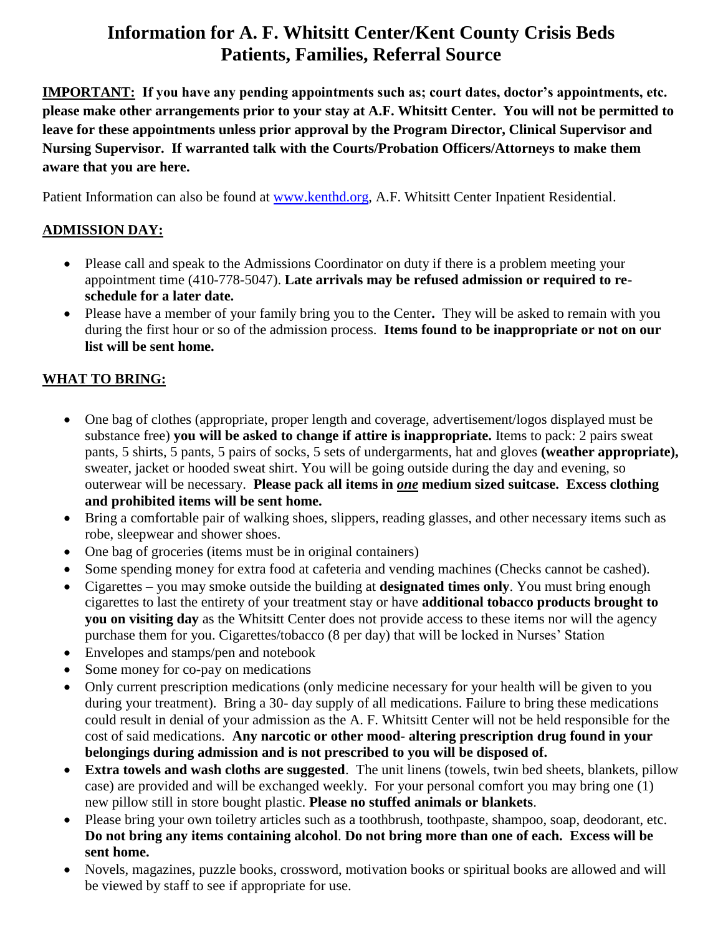# **Information for A. F. Whitsitt Center/Kent County Crisis Beds Patients, Families, Referral Source**

**IMPORTANT: If you have any pending appointments such as; court dates, doctor's appointments, etc. please make other arrangements prior to your stay at A.F. Whitsitt Center. You will not be permitted to leave for these appointments unless prior approval by the Program Director, Clinical Supervisor and Nursing Supervisor. If warranted talk with the Courts/Probation Officers/Attorneys to make them aware that you are here.**

Patient Information can also be found at [www.kenthd.org,](http://www.kenthd.org/) A.F. Whitsitt Center Inpatient Residential.

### **ADMISSION DAY:**

- Please call and speak to the Admissions Coordinator on duty if there is a problem meeting your appointment time (410-778-5047). **Late arrivals may be refused admission or required to reschedule for a later date.**
- Please have a member of your family bring you to the Center**.** They will be asked to remain with you during the first hour or so of the admission process. **Items found to be inappropriate or not on our list will be sent home.**

# **WHAT TO BRING:**

- One bag of clothes (appropriate, proper length and coverage, advertisement/logos displayed must be substance free) **you will be asked to change if attire is inappropriate.** Items to pack: 2 pairs sweat pants, 5 shirts, 5 pants, 5 pairs of socks, 5 sets of undergarments, hat and gloves **(weather appropriate),**  sweater, jacket or hooded sweat shirt. You will be going outside during the day and evening, so outerwear will be necessary. **Please pack all items in** *one* **medium sized suitcase. Excess clothing and prohibited items will be sent home.**
- Bring a comfortable pair of walking shoes, slippers, reading glasses, and other necessary items such as robe, sleepwear and shower shoes.
- One bag of groceries (items must be in original containers)
- Some spending money for extra food at cafeteria and vending machines (Checks cannot be cashed).
- Cigarettes you may smoke outside the building at **designated times only**. You must bring enough cigarettes to last the entirety of your treatment stay or have **additional tobacco products brought to you on visiting day** as the Whitsitt Center does not provide access to these items nor will the agency purchase them for you. Cigarettes/tobacco (8 per day) that will be locked in Nurses' Station
- Envelopes and stamps/pen and notebook
- Some money for co-pay on medications
- Only current prescription medications (only medicine necessary for your health will be given to you during your treatment). Bring a 30- day supply of all medications. Failure to bring these medications could result in denial of your admission as the A. F. Whitsitt Center will not be held responsible for the cost of said medications. **Any narcotic or other mood- altering prescription drug found in your belongings during admission and is not prescribed to you will be disposed of.**
- **Extra towels and wash cloths are suggested**. The unit linens (towels, twin bed sheets, blankets, pillow case) are provided and will be exchanged weekly. For your personal comfort you may bring one (1) new pillow still in store bought plastic. **Please no stuffed animals or blankets**.
- Please bring your own toiletry articles such as a toothbrush, toothpaste, shampoo, soap, deodorant, etc. **Do not bring any items containing alcohol**. **Do not bring more than one of each. Excess will be sent home.**
- Novels, magazines, puzzle books, crossword, motivation books or spiritual books are allowed and will be viewed by staff to see if appropriate for use.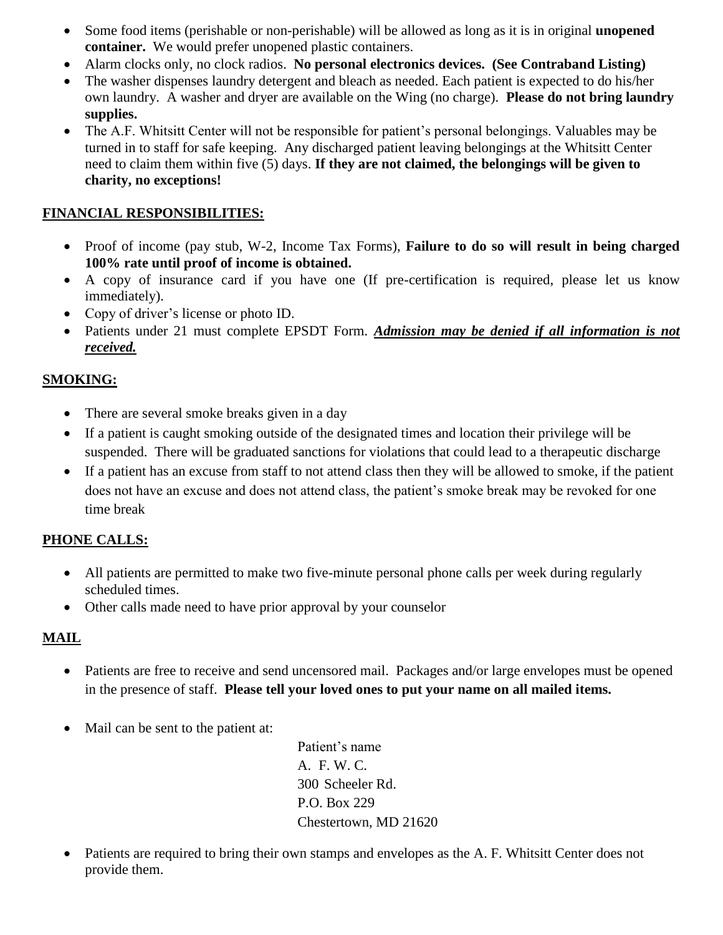- Some food items (perishable or non-perishable) will be allowed as long as it is in original **unopened container.** We would prefer unopened plastic containers.
- Alarm clocks only, no clock radios. **No personal electronics devices. (See Contraband Listing)**
- The washer dispenses laundry detergent and bleach as needed. Each patient is expected to do his/her own laundry. A washer and dryer are available on the Wing (no charge). **Please do not bring laundry supplies.**
- The A.F. Whitsitt Center will not be responsible for patient's personal belongings. Valuables may be turned in to staff for safe keeping. Any discharged patient leaving belongings at the Whitsitt Center need to claim them within five (5) days. **If they are not claimed, the belongings will be given to charity, no exceptions!**

#### **FINANCIAL RESPONSIBILITIES:**

- Proof of income (pay stub, W-2, Income Tax Forms), **Failure to do so will result in being charged 100% rate until proof of income is obtained.**
- A copy of insurance card if you have one (If pre-certification is required, please let us know immediately).
- Copy of driver's license or photo ID.
- Patients under 21 must complete EPSDT Form. *Admission may be denied if all information is not received.*

#### **SMOKING:**

- There are several smoke breaks given in a day
- If a patient is caught smoking outside of the designated times and location their privilege will be suspended. There will be graduated sanctions for violations that could lead to a therapeutic discharge
- If a patient has an excuse from staff to not attend class then they will be allowed to smoke, if the patient does not have an excuse and does not attend class, the patient's smoke break may be revoked for one time break

#### **PHONE CALLS:**

- All patients are permitted to make two five-minute personal phone calls per week during regularly scheduled times.
- Other calls made need to have prior approval by your counselor

# **MAIL**

- Patients are free to receive and send uncensored mail. Packages and/or large envelopes must be opened in the presence of staff. **Please tell your loved ones to put your name on all mailed items.**
- Mail can be sent to the patient at:

Patient's name A. F. W. C. 300 Scheeler Rd. P.O. Box 229 Chestertown, MD 21620

 Patients are required to bring their own stamps and envelopes as the A. F. Whitsitt Center does not provide them.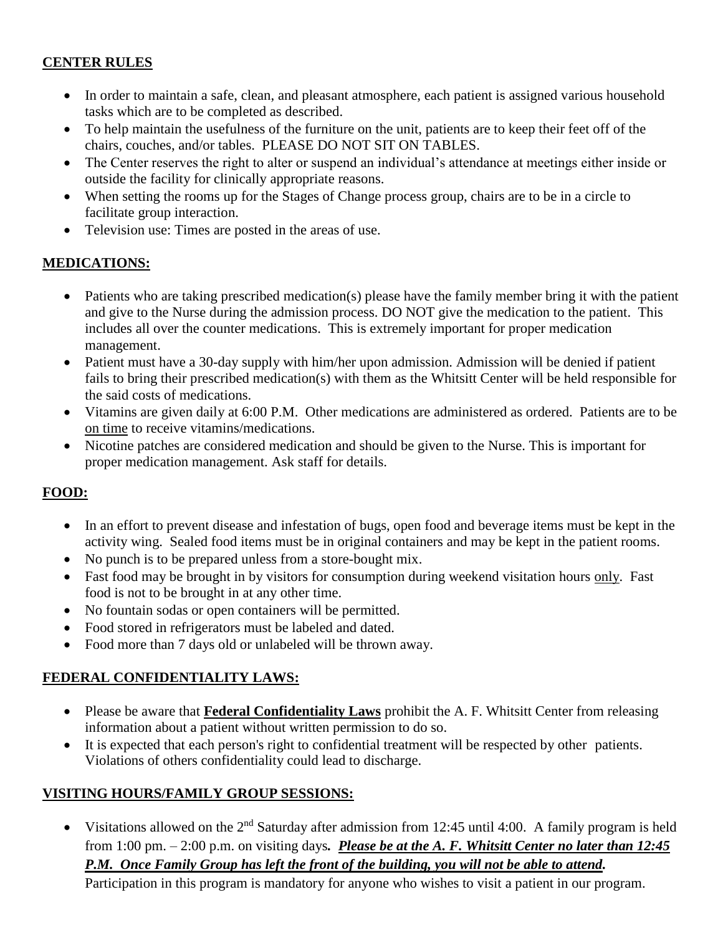#### **CENTER RULES**

- In order to maintain a safe, clean, and pleasant atmosphere, each patient is assigned various household tasks which are to be completed as described.
- To help maintain the usefulness of the furniture on the unit, patients are to keep their feet off of the chairs, couches, and/or tables. PLEASE DO NOT SIT ON TABLES.
- The Center reserves the right to alter or suspend an individual's attendance at meetings either inside or outside the facility for clinically appropriate reasons.
- When setting the rooms up for the Stages of Change process group, chairs are to be in a circle to facilitate group interaction.
- Television use: Times are posted in the areas of use.

#### **MEDICATIONS:**

- Patients who are taking prescribed medication(s) please have the family member bring it with the patient and give to the Nurse during the admission process. DO NOT give the medication to the patient. This includes all over the counter medications. This is extremely important for proper medication management.
- Patient must have a 30-day supply with him/her upon admission. Admission will be denied if patient fails to bring their prescribed medication(s) with them as the Whitsitt Center will be held responsible for the said costs of medications.
- Vitamins are given daily at 6:00 P.M. Other medications are administered as ordered. Patients are to be on time to receive vitamins/medications.
- Nicotine patches are considered medication and should be given to the Nurse. This is important for proper medication management. Ask staff for details.

#### **FOOD:**

- In an effort to prevent disease and infestation of bugs, open food and beverage items must be kept in the activity wing. Sealed food items must be in original containers and may be kept in the patient rooms.
- No punch is to be prepared unless from a store-bought mix.
- Fast food may be brought in by visitors for consumption during weekend visitation hours only. Fast food is not to be brought in at any other time.
- No fountain sodas or open containers will be permitted.
- Food stored in refrigerators must be labeled and dated.
- Food more than 7 days old or unlabeled will be thrown away.

#### **FEDERAL CONFIDENTIALITY LAWS:**

- Please be aware that **Federal Confidentiality Laws** prohibit the A. F. Whitsitt Center from releasing information about a patient without written permission to do so.
- It is expected that each person's right to confidential treatment will be respected by other patients. Violations of others confidentiality could lead to discharge.

#### **VISITING HOURS/FAMILY GROUP SESSIONS:**

Visitations allowed on the  $2<sup>nd</sup>$  Saturday after admission from 12:45 until 4:00. A family program is held from 1:00 pm. – 2:00 p.m. on visiting days*. Please be at the A. F. Whitsitt Center no later than 12:45 P.M. Once Family Group has left the front of the building, you will not be able to attend.*

Participation in this program is mandatory for anyone who wishes to visit a patient in our program.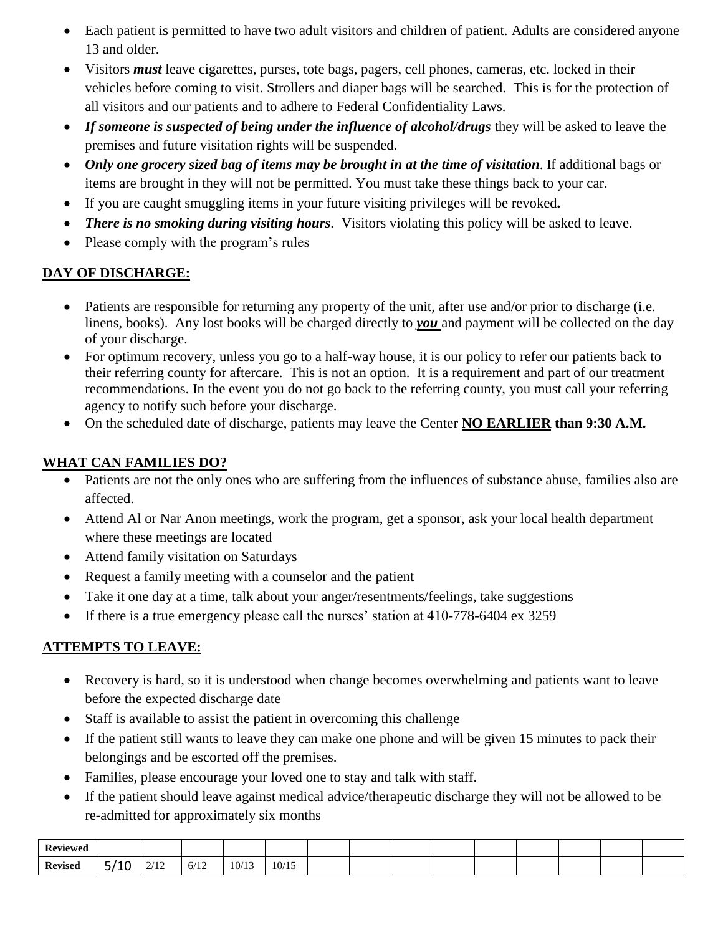- Each patient is permitted to have two adult visitors and children of patient. Adults are considered anyone 13 and older.
- Visitors *must* leave cigarettes, purses, tote bags, pagers, cell phones, cameras, etc. locked in their vehicles before coming to visit. Strollers and diaper bags will be searched. This is for the protection of all visitors and our patients and to adhere to Federal Confidentiality Laws.
- *If someone is suspected of being under the influence of alcohol/drugs* they will be asked to leave the premises and future visitation rights will be suspended.
- *Only one grocery sized bag of items may be brought in at the time of visitation*. If additional bags or items are brought in they will not be permitted. You must take these things back to your car.
- If you are caught smuggling items in your future visiting privileges will be revoked*.*
- *There is no smoking during visiting hours*. Visitors violating this policy will be asked to leave.
- Please comply with the program's rules

# **DAY OF DISCHARGE:**

- Patients are responsible for returning any property of the unit, after use and/or prior to discharge (i.e. linens, books). Any lost books will be charged directly to *you* and payment will be collected on the day of your discharge.
- For optimum recovery, unless you go to a half-way house, it is our policy to refer our patients back to their referring county for aftercare. This is not an option. It is a requirement and part of our treatment recommendations. In the event you do not go back to the referring county, you must call your referring agency to notify such before your discharge.
- On the scheduled date of discharge, patients may leave the Center **NO EARLIER than 9:30 A.M.**

# **WHAT CAN FAMILIES DO?**

- Patients are not the only ones who are suffering from the influences of substance abuse, families also are affected.
- Attend Al or Nar Anon meetings, work the program, get a sponsor, ask your local health department where these meetings are located
- Attend family visitation on Saturdays
- Request a family meeting with a counselor and the patient
- Take it one day at a time, talk about your anger/resentments/feelings, take suggestions
- If there is a true emergency please call the nurses' station at 410-778-6404 ex 3259

# **ATTEMPTS TO LEAVE:**

- Recovery is hard, so it is understood when change becomes overwhelming and patients want to leave before the expected discharge date
- Staff is available to assist the patient in overcoming this challenge
- If the patient still wants to leave they can make one phone and will be given 15 minutes to pack their belongings and be escorted off the premises.
- Families, please encourage your loved one to stay and talk with staff.
- If the patient should leave against medical advice/therapeutic discharge they will not be allowed to be re-admitted for approximately six months

| <b>Reviewed</b> |                        |                                                                           |             |       |       |  |  |  |  |  |
|-----------------|------------------------|---------------------------------------------------------------------------|-------------|-------|-------|--|--|--|--|--|
| <b>Revised</b>  | 110<br>τn<br><u>. </u> | 0/10<br>$\overline{a}$<br>the contract of the contract of the contract of | 710<br>6/12 | 10/13 | 10/15 |  |  |  |  |  |